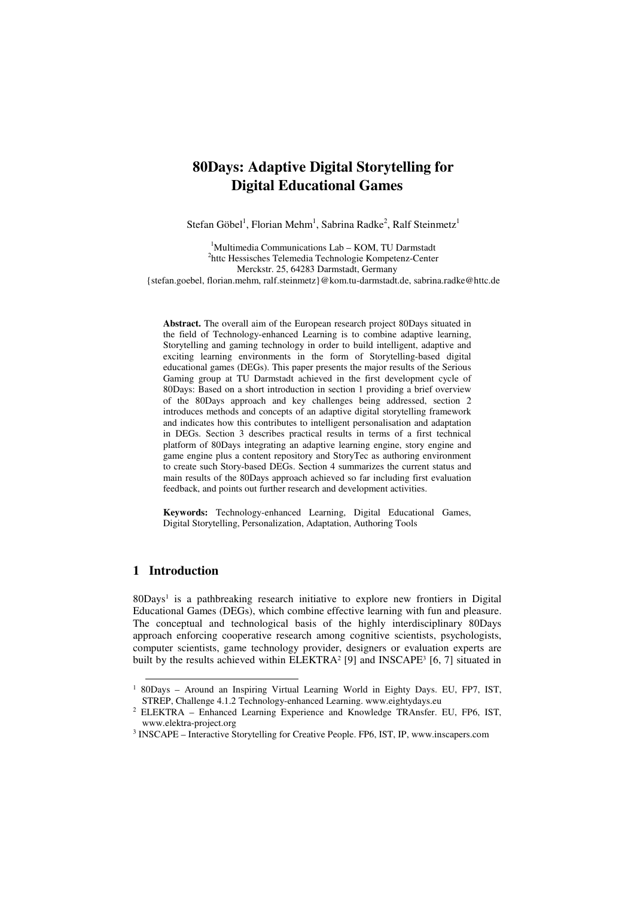# **80Days: Adaptive Digital Storytelling for Digital Educational Games**

Stefan Göbel<sup>1</sup>, Florian Mehm<sup>1</sup>, Sabrina Radke<sup>2</sup>, Ralf Steinmetz<sup>1</sup>

<sup>1</sup>Multimedia Communications Lab - KOM, TU Darmstadt <sup>2</sup>httc Hessisches Telemedia Technologie Kompetenz-Center Merckstr. 25, 64283 Darmstadt, Germany {stefan.goebel, florian.mehm, ralf.steinmetz}@kom.tu-darmstadt.de, sabrina.radke@httc.de

**Abstract.** The overall aim of the European research project 80Days situated in the field of Technology-enhanced Learning is to combine adaptive learning, Storytelling and gaming technology in order to build intelligent, adaptive and exciting learning environments in the form of Storytelling-based digital educational games (DEGs). This paper presents the major results of the Serious Gaming group at TU Darmstadt achieved in the first development cycle of 80Days: Based on a short introduction in section 1 providing a brief overview of the 80Days approach and key challenges being addressed, section 2 introduces methods and concepts of an adaptive digital storytelling framework and indicates how this contributes to intelligent personalisation and adaptation in DEGs. Section 3 describes practical results in terms of a first technical platform of 80Days integrating an adaptive learning engine, story engine and game engine plus a content repository and StoryTec as authoring environment to create such Story-based DEGs. Section 4 summarizes the current status and main results of the 80Days approach achieved so far including first evaluation feedback, and points out further research and development activities.

**Keywords:** Technology-enhanced Learning, Digital Educational Games, Digital Storytelling, Personalization, Adaptation, Authoring Tools

# **1 Introduction**

 $\overline{a}$ 

80Days<sup>1</sup> is a pathbreaking research initiative to explore new frontiers in Digital Educational Games (DEGs), which combine effective learning with fun and pleasure. The conceptual and technological basis of the highly interdisciplinary 80Days approach enforcing cooperative research among cognitive scientists, psychologists, computer scientists, game technology provider, designers or evaluation experts are built by the results achieved within  $ELEKTRA^2$  [9] and INSCAPE<sup>3</sup> [6, 7] situated in

<sup>&</sup>lt;sup>1</sup> 80Days - Around an Inspiring Virtual Learning World in Eighty Days. EU, FP7, IST, STREP, Challenge 4.1.2 Technology-enhanced Learning. www.eightydays.eu

<sup>2</sup> ELEKTRA – Enhanced Learning Experience and Knowledge TRAnsfer. EU, FP6, IST, www.elektra-project.org

<sup>&</sup>lt;sup>3</sup> INSCAPE – Interactive Storytelling for Creative People. FP6, IST, IP, www.inscapers.com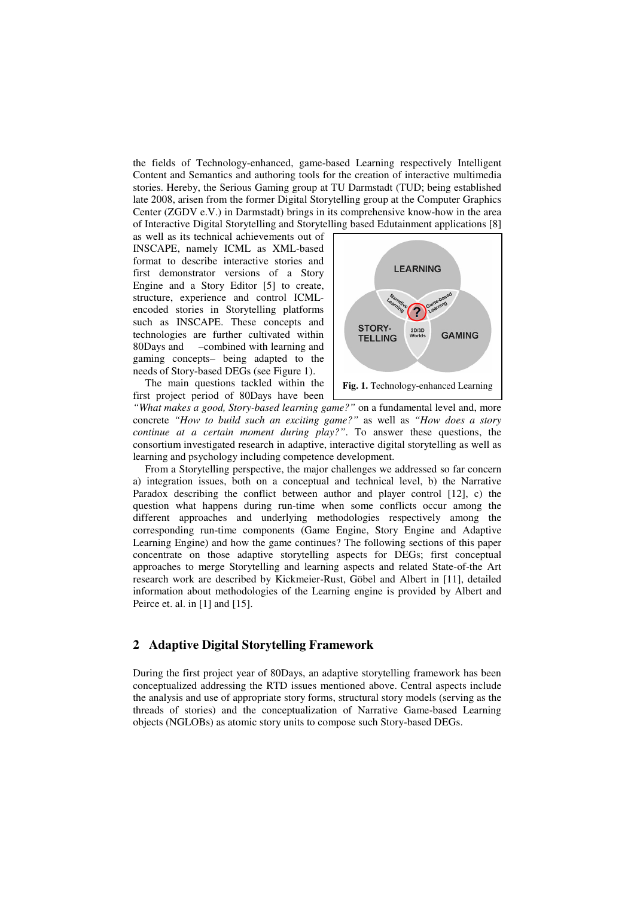the fields of Technology-enhanced, game-based Learning respectively Intelligent Content and Semantics and authoring tools for the creation of interactive multimedia stories. Hereby, the Serious Gaming group at TU Darmstadt (TUD; being established late 2008, arisen from the former Digital Storytelling group at the Computer Graphics Center (ZGDV e.V.) in Darmstadt) brings in its comprehensive know-how in the area of Interactive Digital Storytelling and Storytelling based Edutainment applications [8]

as well as its technical achievements out of INSCAPE, namely ICML as XML-based format to describe interactive stories and first demonstrator versions of a Story Engine and a Story Editor [5] to create, structure, experience and control ICMLencoded stories in Storytelling platforms such as INSCAPE. These concepts and technologies are further cultivated within 80Days and –combined with learning and gaming concepts– being adapted to the needs of Story-based DEGs (see Figure 1).

The main questions tackled within the first project period of 80Days have been



*"What makes a good, Story-based learning game?"* on a fundamental level and, more concrete *"How to build such an exciting game?"* as well as *"How does a story continue at a certain moment during play?"*. To answer these questions, the consortium investigated research in adaptive, interactive digital storytelling as well as learning and psychology including competence development.

From a Storytelling perspective, the major challenges we addressed so far concern a) integration issues, both on a conceptual and technical level, b) the Narrative Paradox describing the conflict between author and player control [12], c) the question what happens during run-time when some conflicts occur among the different approaches and underlying methodologies respectively among the corresponding run-time components (Game Engine, Story Engine and Adaptive Learning Engine) and how the game continues? The following sections of this paper concentrate on those adaptive storytelling aspects for DEGs; first conceptual approaches to merge Storytelling and learning aspects and related State-of-the Art research work are described by Kickmeier-Rust, Göbel and Albert in [11], detailed information about methodologies of the Learning engine is provided by Albert and Peirce et. al. in [1] and [15].

## **2 Adaptive Digital Storytelling Framework**

During the first project year of 80Days, an adaptive storytelling framework has been conceptualized addressing the RTD issues mentioned above. Central aspects include the analysis and use of appropriate story forms, structural story models (serving as the threads of stories) and the conceptualization of Narrative Game-based Learning objects (NGLOBs) as atomic story units to compose such Story-based DEGs.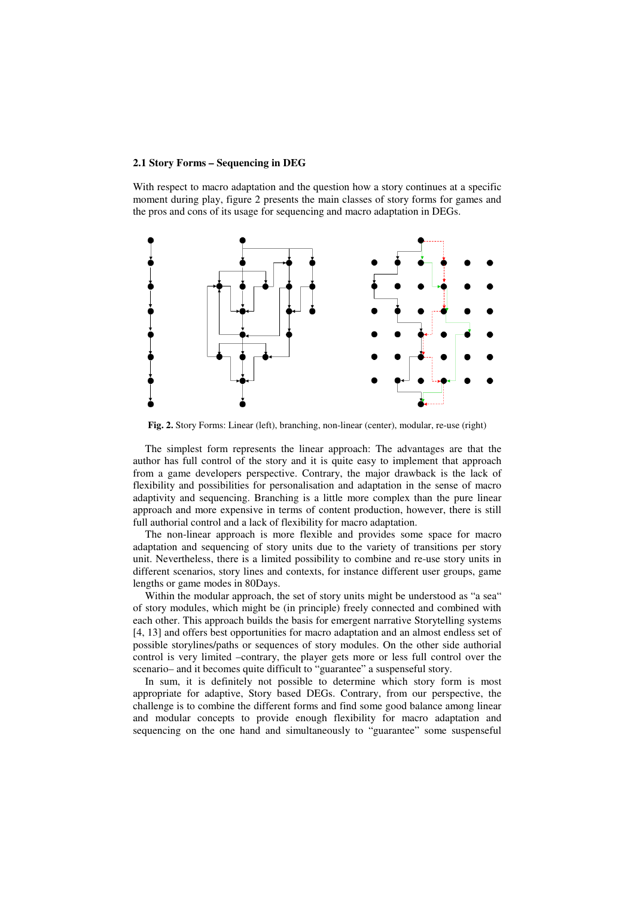#### **2.1 Story Forms – Sequencing in DEG**

With respect to macro adaptation and the question how a story continues at a specific moment during play, figure 2 presents the main classes of story forms for games and the pros and cons of its usage for sequencing and macro adaptation in DEGs.



Fig. 2. Story Forms: Linear (left), branching, non-linear (center), modular, re-use (right)

The simplest form represents the linear approach: The advantages are that the author has full control of the story and it is quite easy to implement that approach from a game developers perspective. Contrary, the major drawback is the lack of flexibility and possibilities for personalisation and adaptation in the sense of macro adaptivity and sequencing. Branching is a little more complex than the pure linear approach and more expensive in terms of content production, however, there is still full authorial control and a lack of flexibility for macro adaptation.

The non-linear approach is more flexible and provides some space for macro adaptation and sequencing of story units due to the variety of transitions per story unit. Nevertheless, there is a limited possibility to combine and re-use story units in different scenarios, story lines and contexts, for instance different user groups, game lengths or game modes in 80Days.

Within the modular approach, the set of story units might be understood as "a sea" of story modules, which might be (in principle) freely connected and combined with each other. This approach builds the basis for emergent narrative Storytelling systems [4, 13] and offers best opportunities for macro adaptation and an almost endless set of possible storylines/paths or sequences of story modules. On the other side authorial control is very limited –contrary, the player gets more or less full control over the scenario– and it becomes quite difficult to "guarantee" a suspenseful story.

In sum, it is definitely not possible to determine which story form is most appropriate for adaptive, Story based DEGs. Contrary, from our perspective, the challenge is to combine the different forms and find some good balance among linear and modular concepts to provide enough flexibility for macro adaptation and sequencing on the one hand and simultaneously to "guarantee" some suspenseful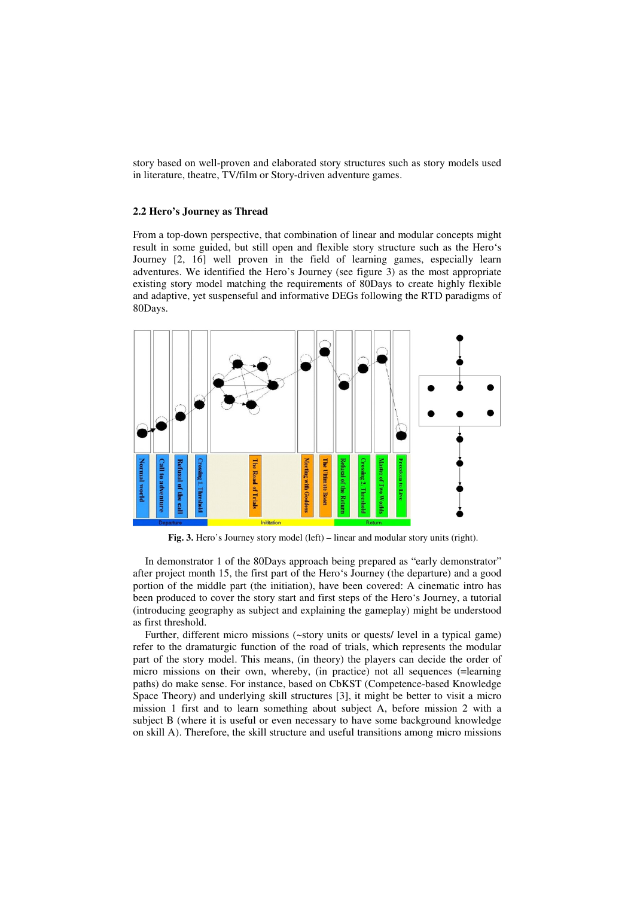story based on well-proven and elaborated story structures such as story models used in literature, theatre, TV/film or Story-driven adventure games.

#### **2.2 Hero's Journey as Thread**

From a top-down perspective, that combination of linear and modular concepts might result in some guided, but still open and flexible story structure such as the Hero's Journey [2, 16] well proven in the field of learning games, especially learn adventures. We identified the Hero's Journey (see figure 3) as the most appropriate existing story model matching the requirements of 80Days to create highly flexible and adaptive, yet suspenseful and informative DEGs following the RTD paradigms of 80Days.



**Fig. 3.** Hero's Journey story model (left) – linear and modular story units (right).

In demonstrator 1 of the 80Days approach being prepared as "early demonstrator" after project month 15, the first part of the Hero's Journey (the departure) and a good portion of the middle part (the initiation), have been covered: A cinematic intro has been produced to cover the story start and first steps of the Hero's Journey, a tutorial (introducing geography as subject and explaining the gameplay) might be understood as first threshold.

Further, different micro missions (~story units or quests/ level in a typical game) refer to the dramaturgic function of the road of trials, which represents the modular part of the story model. This means, (in theory) the players can decide the order of micro missions on their own, whereby, (in practice) not all sequences (=learning paths) do make sense. For instance, based on CbKST (Competence-based Knowledge Space Theory) and underlying skill structures [3], it might be better to visit a micro mission 1 first and to learn something about subject A, before mission 2 with a subject B (where it is useful or even necessary to have some background knowledge on skill A). Therefore, the skill structure and useful transitions among micro missions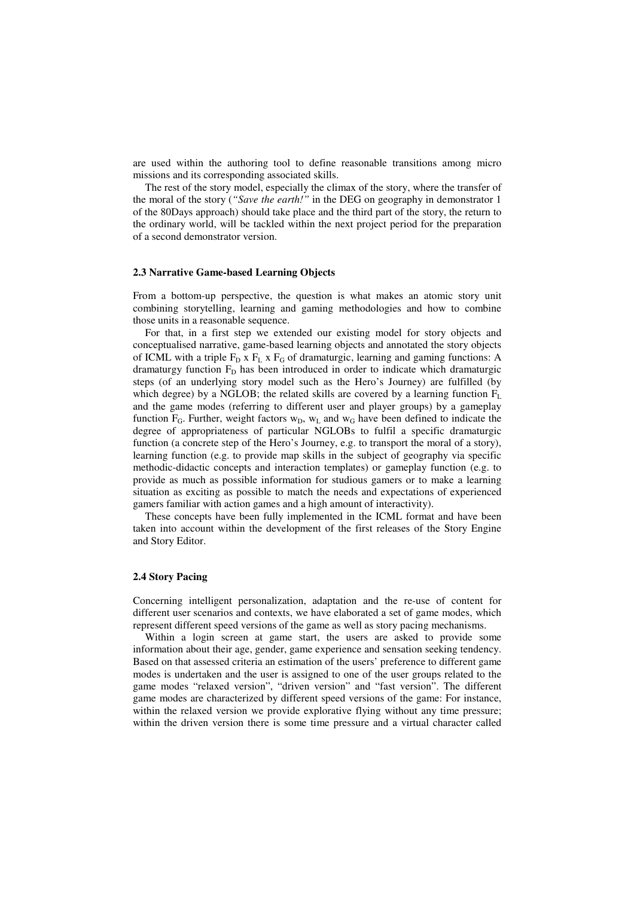are used within the authoring tool to define reasonable transitions among micro missions and its corresponding associated skills.

The rest of the story model, especially the climax of the story, where the transfer of the moral of the story (*"Save the earth!"* in the DEG on geography in demonstrator 1 of the 80Days approach) should take place and the third part of the story, the return to the ordinary world, will be tackled within the next project period for the preparation of a second demonstrator version.

#### **2.3 Narrative Game-based Learning Objects**

From a bottom-up perspective, the question is what makes an atomic story unit combining storytelling, learning and gaming methodologies and how to combine those units in a reasonable sequence.

For that, in a first step we extended our existing model for story objects and conceptualised narrative, game-based learning objects and annotated the story objects of ICML with a triple  $F_D$  x  $F_L$  x  $F_G$  of dramaturgic, learning and gaming functions: A dramaturgy function  $F<sub>D</sub>$  has been introduced in order to indicate which dramaturgic steps (of an underlying story model such as the Hero's Journey) are fulfilled (by which degree) by a NGLOB; the related skills are covered by a learning function  $F_L$ and the game modes (referring to different user and player groups) by a gameplay function  $F_G$ . Further, weight factors  $w_D$ ,  $w_L$  and  $w_G$  have been defined to indicate the degree of appropriateness of particular NGLOBs to fulfil a specific dramaturgic function (a concrete step of the Hero's Journey, e.g. to transport the moral of a story), learning function (e.g. to provide map skills in the subject of geography via specific methodic-didactic concepts and interaction templates) or gameplay function (e.g. to provide as much as possible information for studious gamers or to make a learning situation as exciting as possible to match the needs and expectations of experienced gamers familiar with action games and a high amount of interactivity).

These concepts have been fully implemented in the ICML format and have been taken into account within the development of the first releases of the Story Engine and Story Editor.

## **2.4 Story Pacing**

Concerning intelligent personalization, adaptation and the re-use of content for different user scenarios and contexts, we have elaborated a set of game modes, which represent different speed versions of the game as well as story pacing mechanisms.

Within a login screen at game start, the users are asked to provide some information about their age, gender, game experience and sensation seeking tendency. Based on that assessed criteria an estimation of the users' preference to different game modes is undertaken and the user is assigned to one of the user groups related to the game modes "relaxed version", "driven version" and "fast version". The different game modes are characterized by different speed versions of the game: For instance, within the relaxed version we provide explorative flying without any time pressure; within the driven version there is some time pressure and a virtual character called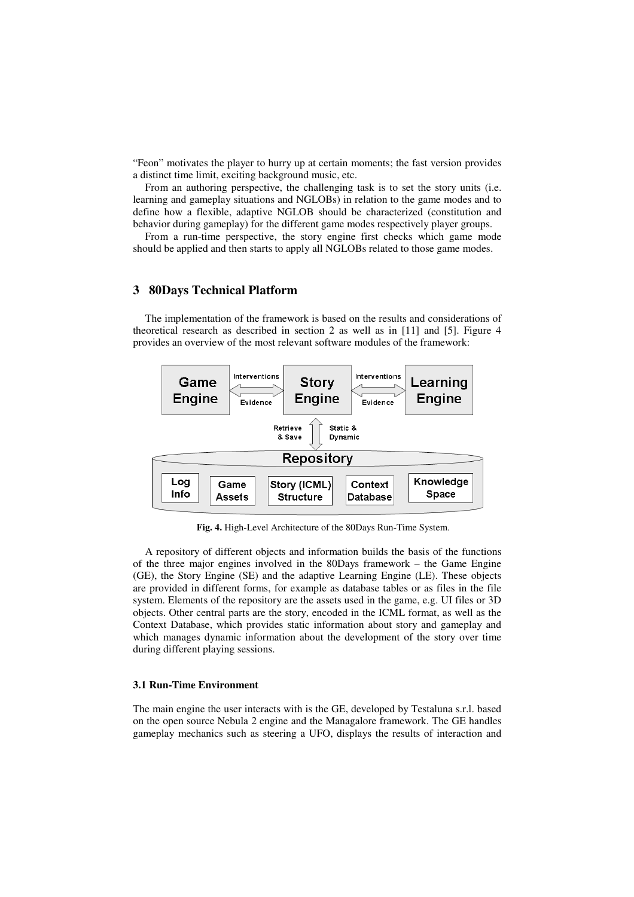"Feon" motivates the player to hurry up at certain moments; the fast version provides a distinct time limit, exciting background music, etc.

From an authoring perspective, the challenging task is to set the story units (i.e. learning and gameplay situations and NGLOBs) in relation to the game modes and to define how a flexible, adaptive NGLOB should be characterized (constitution and behavior during gameplay) for the different game modes respectively player groups.

From a run-time perspective, the story engine first checks which game mode should be applied and then starts to apply all NGLOBs related to those game modes.

# **3 80Days Technical Platform**

The implementation of the framework is based on the results and considerations of theoretical research as described in section 2 as well as in [11] and [5]. Figure 4 provides an overview of the most relevant software modules of the framework:



**Fig. 4.** High-Level Architecture of the 80Days Run-Time System.

A repository of different objects and information builds the basis of the functions of the three major engines involved in the 80Days framework – the Game Engine (GE), the Story Engine (SE) and the adaptive Learning Engine (LE). These objects are provided in different forms, for example as database tables or as files in the file system. Elements of the repository are the assets used in the game, e.g. UI files or 3D objects. Other central parts are the story, encoded in the ICML format, as well as the Context Database, which provides static information about story and gameplay and which manages dynamic information about the development of the story over time during different playing sessions.

#### **3.1 Run-Time Environment**

The main engine the user interacts with is the GE, developed by Testaluna s.r.l. based on the open source Nebula 2 engine and the Managalore framework. The GE handles gameplay mechanics such as steering a UFO, displays the results of interaction and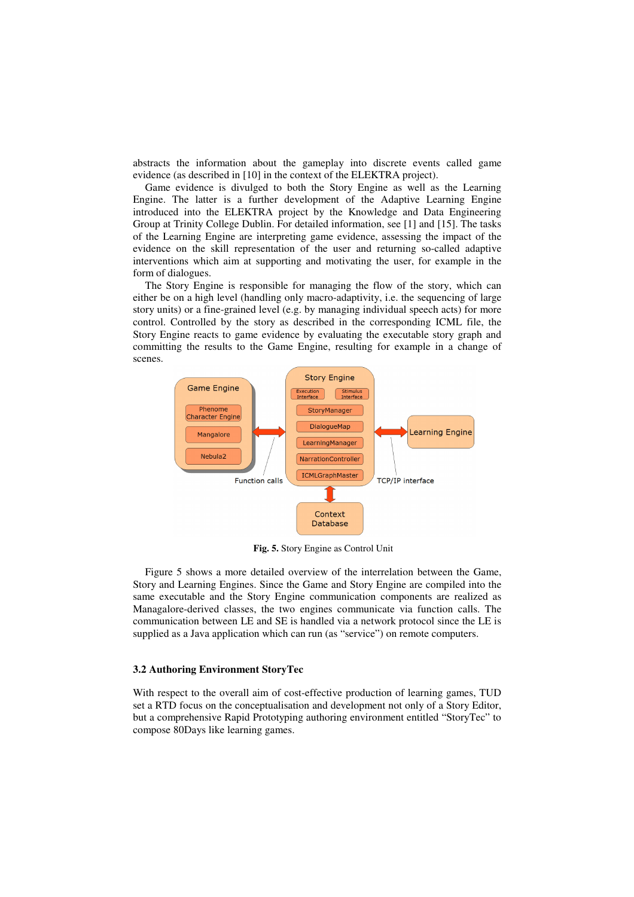abstracts the information about the gameplay into discrete events called game evidence (as described in [10] in the context of the ELEKTRA project).

Game evidence is divulged to both the Story Engine as well as the Learning Engine. The latter is a further development of the Adaptive Learning Engine introduced into the ELEKTRA project by the Knowledge and Data Engineering Group at Trinity College Dublin. For detailed information, see [1] and [15]. The tasks of the Learning Engine are interpreting game evidence, assessing the impact of the evidence on the skill representation of the user and returning so-called adaptive interventions which aim at supporting and motivating the user, for example in the form of dialogues.

The Story Engine is responsible for managing the flow of the story, which can either be on a high level (handling only macro-adaptivity, i.e. the sequencing of large story units) or a fine-grained level (e.g. by managing individual speech acts) for more control. Controlled by the story as described in the corresponding ICML file, the Story Engine reacts to game evidence by evaluating the executable story graph and committing the results to the Game Engine, resulting for example in a change of scenes.



**Fig. 5.** Story Engine as Control Unit

Figure 5 shows a more detailed overview of the interrelation between the Game, Story and Learning Engines. Since the Game and Story Engine are compiled into the same executable and the Story Engine communication components are realized as Managalore-derived classes, the two engines communicate via function calls. The communication between LE and SE is handled via a network protocol since the LE is supplied as a Java application which can run (as "service") on remote computers.

#### **3.2 Authoring Environment StoryTec**

With respect to the overall aim of cost-effective production of learning games, TUD set a RTD focus on the conceptualisation and development not only of a Story Editor, but a comprehensive Rapid Prototyping authoring environment entitled "StoryTec" to compose 80Days like learning games.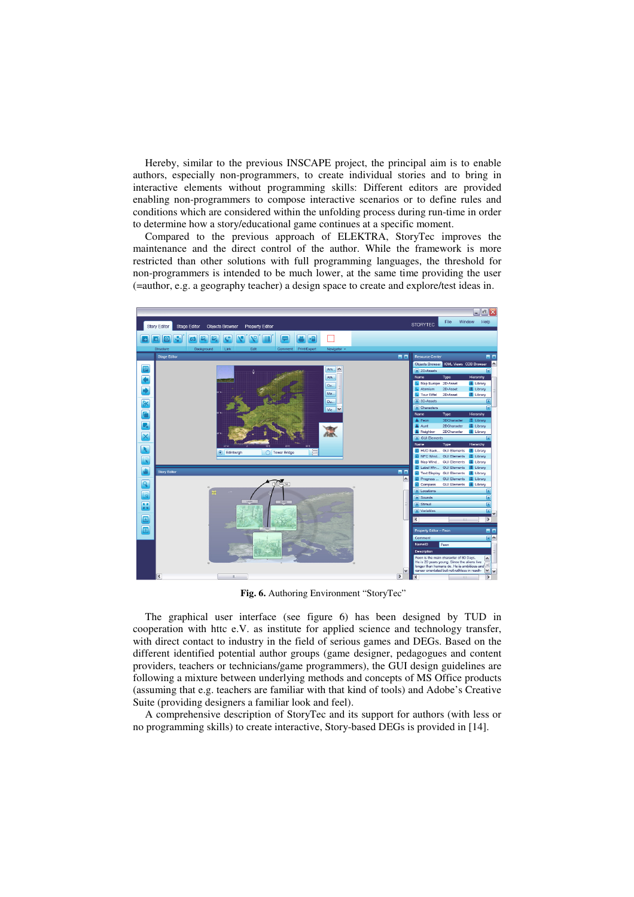Hereby, similar to the previous INSCAPE project, the principal aim is to enable authors, especially non-programmers, to create individual stories and to bring in interactive elements without programming skills: Different editors are provided enabling non-programmers to compose interactive scenarios or to define rules and conditions which are considered within the unfolding process during run-time in order to determine how a story/educational game continues at a specific moment.

Compared to the previous approach of ELEKTRA, StoryTec improves the maintenance and the direct control of the author. While the framework is more restricted than other solutions with full programming languages, the threshold for non-programmers is intended to be much lower, at the same time providing the user (=author, e.g. a geography teacher) a design space to create and explore/test ideas in.



**Fig. 6.** Authoring Environment "StoryTec"

The graphical user interface (see figure 6) has been designed by TUD in cooperation with httc e.V. as institute for applied science and technology transfer, with direct contact to industry in the field of serious games and DEGs. Based on the different identified potential author groups (game designer, pedagogues and content providers, teachers or technicians/game programmers), the GUI design guidelines are following a mixture between underlying methods and concepts of MS Office products (assuming that e.g. teachers are familiar with that kind of tools) and Adobe's Creative Suite (providing designers a familiar look and feel).

A comprehensive description of StoryTec and its support for authors (with less or no programming skills) to create interactive, Story-based DEGs is provided in [14].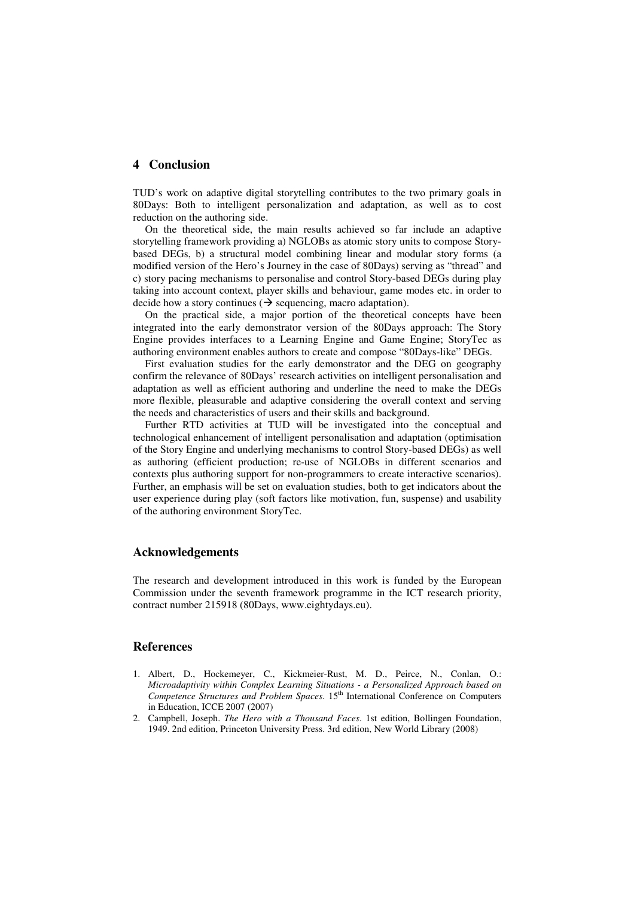#### **4 Conclusion**

TUD's work on adaptive digital storytelling contributes to the two primary goals in 80Days: Both to intelligent personalization and adaptation, as well as to cost reduction on the authoring side.

On the theoretical side, the main results achieved so far include an adaptive storytelling framework providing a) NGLOBs as atomic story units to compose Storybased DEGs, b) a structural model combining linear and modular story forms (a modified version of the Hero's Journey in the case of 80Days) serving as "thread" and c) story pacing mechanisms to personalise and control Story-based DEGs during play taking into account context, player skills and behaviour, game modes etc. in order to decide how a story continues ( $\rightarrow$  sequencing, macro adaptation).

On the practical side, a major portion of the theoretical concepts have been integrated into the early demonstrator version of the 80Days approach: The Story Engine provides interfaces to a Learning Engine and Game Engine; StoryTec as authoring environment enables authors to create and compose "80Days-like" DEGs.

First evaluation studies for the early demonstrator and the DEG on geography confirm the relevance of 80Days' research activities on intelligent personalisation and adaptation as well as efficient authoring and underline the need to make the DEGs more flexible, pleasurable and adaptive considering the overall context and serving the needs and characteristics of users and their skills and background.

Further RTD activities at TUD will be investigated into the conceptual and technological enhancement of intelligent personalisation and adaptation (optimisation of the Story Engine and underlying mechanisms to control Story-based DEGs) as well as authoring (efficient production; re-use of NGLOBs in different scenarios and contexts plus authoring support for non-programmers to create interactive scenarios). Further, an emphasis will be set on evaluation studies, both to get indicators about the user experience during play (soft factors like motivation, fun, suspense) and usability of the authoring environment StoryTec.

### **Acknowledgements**

The research and development introduced in this work is funded by the European Commission under the seventh framework programme in the ICT research priority, contract number 215918 (80Days, www.eightydays.eu).

# **References**

- 1. Albert, D., Hockemeyer, C., Kickmeier-Rust, M. D., Peirce, N., Conlan, O.: *Microadaptivity within Complex Learning Situations - a Personalized Approach based on Competence Structures and Problem Spaces*. 15<sup>th</sup> International Conference on Computers in Education, ICCE 2007 (2007)
- 2. Campbell, Joseph. *The Hero with a Thousand Faces*. 1st edition, Bollingen Foundation, 1949. 2nd edition, Princeton University Press. 3rd edition, New World Library (2008)